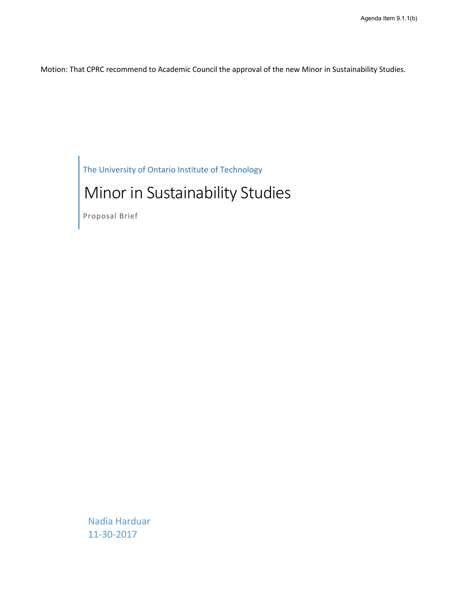Motion: That CPRC recommend to Academic Council the approval of the new Minor in Sustainability Studies.

The University of Ontario Institute of Technology

# Minor in Sustainability Studies

Proposal Brief

Nadia Harduar 11-30-2017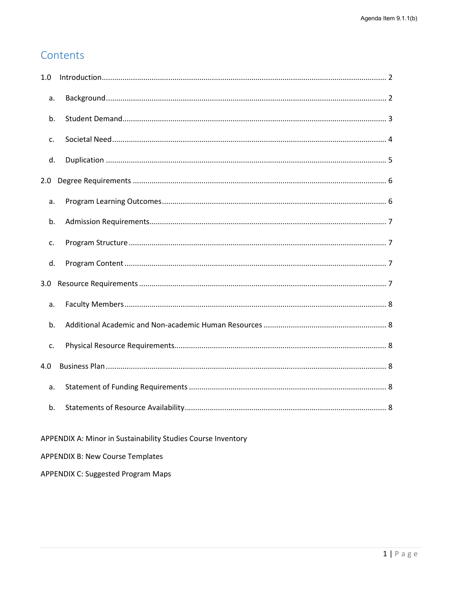# Contents

| 1.0              |  |
|------------------|--|
| a.               |  |
| b.               |  |
| $C_{\bullet}$    |  |
| d.               |  |
| 2.0              |  |
| a.               |  |
| b.               |  |
| C.               |  |
| d.               |  |
| 3.0 <sub>1</sub> |  |
| a.               |  |
| b.               |  |
| c.               |  |
| 4.0              |  |
| a.               |  |
| b.               |  |
|                  |  |

APPENDIX A: Minor in Sustainability Studies Course Inventory

APPENDIX B: New Course Templates

**APPENDIX C: Suggested Program Maps**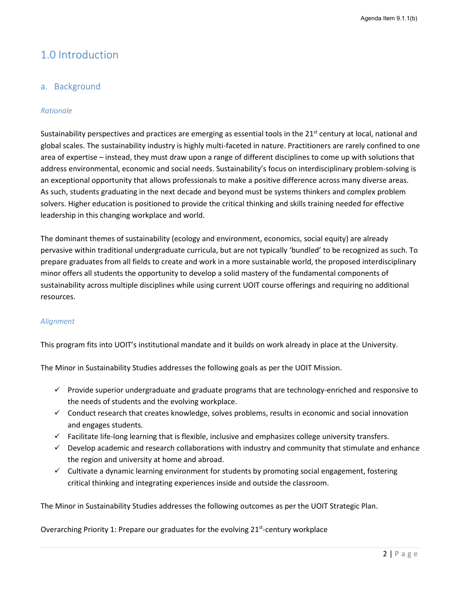# <span id="page-2-0"></span>1.0 Introduction

# <span id="page-2-1"></span>a. Background

#### *Rationale*

Sustainability perspectives and practices are emerging as essential tools in the  $21^{st}$  century at local, national and global scales. The sustainability industry is highly multi-faceted in nature. Practitioners are rarely confined to one area of expertise – instead, they must draw upon a range of different disciplines to come up with solutions that address environmental, economic and social needs. Sustainability's focus on interdisciplinary problem-solving is an exceptional opportunity that allows professionals to make a positive difference across many diverse areas. As such, students graduating in the next decade and beyond must be systems thinkers and complex problem solvers. Higher education is positioned to provide the critical thinking and skills training needed for effective leadership in this changing workplace and world.

The dominant themes of sustainability (ecology and environment, economics, social equity) are already pervasive within traditional undergraduate curricula, but are not typically 'bundled' to be recognized as such. To prepare graduates from all fields to create and work in a more sustainable world, the proposed interdisciplinary minor offers all students the opportunity to develop a solid mastery of the fundamental components of sustainability across multiple disciplines while using current UOIT course offerings and requiring no additional resources.

#### *Alignment*

This program fits into UOIT's institutional mandate and it builds on work already in place at the University.

The Minor in Sustainability Studies addresses the following goals as per the UOIT Mission.

- $\checkmark$  Provide superior undergraduate and graduate programs that are technology-enriched and responsive to the needs of students and the evolving workplace.
- $\checkmark$  Conduct research that creates knowledge, solves problems, results in economic and social innovation and engages students.
- $\checkmark$  Facilitate life-long learning that is flexible, inclusive and emphasizes college university transfers.
- $\checkmark$  Develop academic and research collaborations with industry and community that stimulate and enhance the region and university at home and abroad.
- $\checkmark$  Cultivate a dynamic learning environment for students by promoting social engagement, fostering critical thinking and integrating experiences inside and outside the classroom.

The Minor in Sustainability Studies addresses the following outcomes as per the UOIT Strategic Plan.

Overarching Priority 1: Prepare our graduates for the evolving 21<sup>st</sup>-century workplace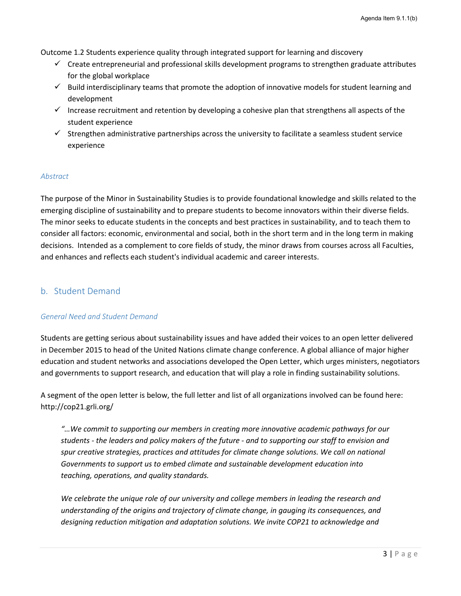Outcome 1.2 Students experience quality through integrated support for learning and discovery

- $\checkmark$  Create entrepreneurial and professional skills development programs to strengthen graduate attributes for the global workplace
- $\checkmark$  Build interdisciplinary teams that promote the adoption of innovative models for student learning and development
- Increase recruitment and retention by developing a cohesive plan that strengthens all aspects of the student experience
- $\checkmark$  Strengthen administrative partnerships across the university to facilitate a seamless student service experience

#### *Abstract*

The purpose of the Minor in Sustainability Studies is to provide foundational knowledge and skills related to the emerging discipline of sustainability and to prepare students to become innovators within their diverse fields. The minor seeks to educate students in the concepts and best practices in sustainability, and to teach them to consider all factors: economic, environmental and social, both in the short term and in the long term in making decisions. Intended as a complement to core fields of study, the minor draws from courses across all Faculties, and enhances and reflects each student's individual academic and career interests.

# <span id="page-3-0"></span>b. Student Demand

#### *General Need and Student Demand*

Students are getting serious about sustainability issues and have added their voices to an open letter delivered in December 2015 to head of the United Nations climate change conference. A global alliance of major higher education and student networks and associations developed the Open Letter, which urges ministers, negotiators and governments to support research, and education that will play a role in finding sustainability solutions.

A segment of the open letter is below, the full letter and list of all organizations involved can be found here: http://cop21.grli.org/

*"…We commit to supporting our members in creating more innovative academic pathways for our students - the leaders and policy makers of the future - and to supporting our staff to envision and*  spur creative strategies, practices and attitudes for climate change solutions. We call on national *Governments to support us to embed climate and sustainable development education into teaching, operations, and quality standards.*

*We celebrate the unique role of our university and college members in leading the research and understanding of the origins and trajectory of climate change, in gauging its consequences, and designing reduction mitigation and adaptation solutions. We invite COP21 to acknowledge and*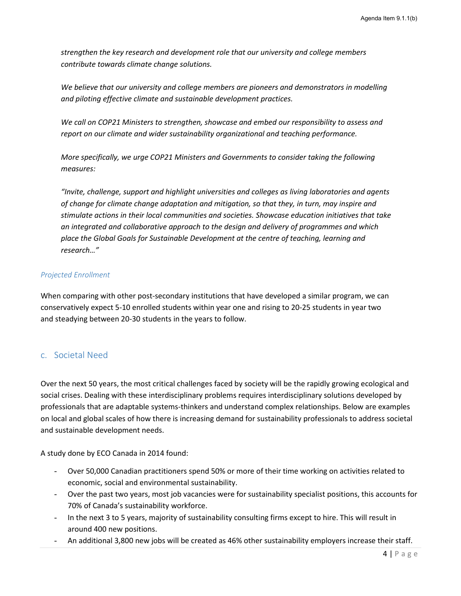*strengthen the key research and development role that our university and college members contribute towards climate change solutions.*

*We believe that our university and college members are pioneers and demonstrators in modelling and piloting effective climate and sustainable development practices.*

*We call on COP21 Ministers to strengthen, showcase and embed our responsibility to assess and report on our climate and wider sustainability organizational and teaching performance.*

*More specifically, we urge COP21 Ministers and Governments to consider taking the following measures:*

*"Invite, challenge, support and highlight universities and colleges as living laboratories and agents of change for climate change adaptation and mitigation, so that they, in turn, may inspire and stimulate actions in their local communities and societies. Showcase education initiatives that take an integrated and collaborative approach to the design and delivery of programmes and which place the Global Goals for Sustainable Development at the centre of teaching, learning and research…"* 

### *Projected Enrollment*

When comparing with other post-secondary institutions that have developed a similar program, we can conservatively expect 5-10 enrolled students within year one and rising to 20-25 students in year two and steadying between 20-30 students in the years to follow.

# <span id="page-4-0"></span>c. Societal Need

Over the next 50 years, the most critical challenges faced by society will be the rapidly growing ecological and social crises. Dealing with these interdisciplinary problems requires interdisciplinary solutions developed by professionals that are adaptable systems-thinkers and understand complex relationships. Below are examples on local and global scales of how there is increasing demand for sustainability professionals to address societal and sustainable development needs.

A study done by ECO Canada in 2014 found:

- Over 50,000 Canadian practitioners spend 50% or more of their time working on activities related to economic, social and environmental sustainability.
- Over the past two years, most job vacancies were for sustainability specialist positions, this accounts for 70% of Canada's sustainability workforce.
- In the next 3 to 5 years, majority of sustainability consulting firms except to hire. This will result in around 400 new positions.
- An additional 3,800 new jobs will be created as 46% other sustainability employers increase their staff.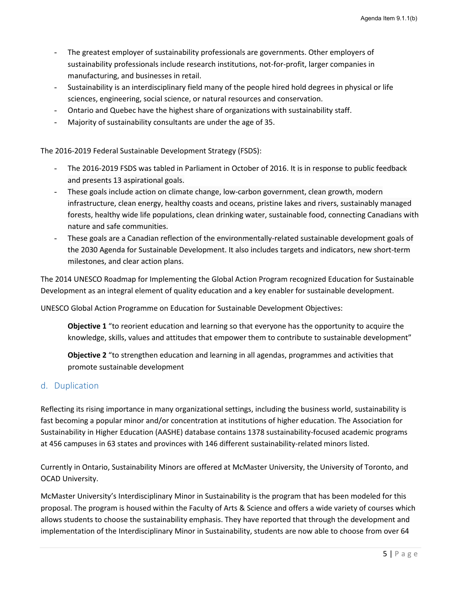- The greatest employer of sustainability professionals are governments. Other employers of sustainability professionals include research institutions, not-for-profit, larger companies in manufacturing, and businesses in retail.
- Sustainability is an interdisciplinary field many of the people hired hold degrees in physical or life sciences, engineering, social science, or natural resources and conservation.
- Ontario and Quebec have the highest share of organizations with sustainability staff.
- Majority of sustainability consultants are under the age of 35.

The 2016-2019 Federal Sustainable Development Strategy (FSDS):

- The 2016-2019 FSDS was tabled in Parliament in October of 2016. It is in response to public feedback and presents 13 aspirational goals.
- These goals include action on climate change, low-carbon government, clean growth, modern infrastructure, clean energy, healthy coasts and oceans, pristine lakes and rivers, sustainably managed forests, healthy wide life populations, clean drinking water, sustainable food, connecting Canadians with nature and safe communities.
- These goals are a Canadian reflection of the environmentally-related sustainable development goals of the 2030 Agenda for Sustainable Development. It also includes targets and indicators, new short-term milestones, and clear action plans.

The 2014 UNESCO Roadmap for Implementing the Global Action Program recognized Education for Sustainable Development as an integral element of quality education and a key enabler for sustainable development.

UNESCO Global Action Programme on Education for Sustainable Development Objectives:

**Objective 1** "to reorient education and learning so that everyone has the opportunity to acquire the knowledge, skills, values and attitudes that empower them to contribute to sustainable development"

**Objective 2** "to strengthen education and learning in all agendas, programmes and activities that promote sustainable development

# <span id="page-5-0"></span>d. Duplication

Reflecting its rising importance in many organizational settings, including the business world, sustainability is fast becoming a popular minor and/or concentration at institutions of higher education. The Association for Sustainability in Higher Education (AASHE) database contains 1378 sustainability-focused academic programs at 456 campuses in 63 states and provinces with 146 different sustainability-related minors listed.

Currently in Ontario, Sustainability Minors are offered at McMaster University, the University of Toronto, and OCAD University.

McMaster University's Interdisciplinary Minor in Sustainability is the program that has been modeled for this proposal. The program is housed within the Faculty of Arts & Science and offers a wide variety of courses which allows students to choose the sustainability emphasis. They have reported that through the development and implementation of the Interdisciplinary Minor in Sustainability, students are now able to choose from over 64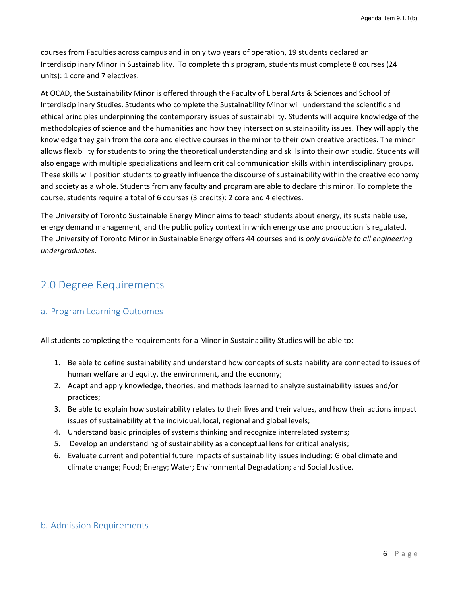courses from Faculties across campus and in only two years of operation, 19 students declared an Interdisciplinary Minor in Sustainability. To complete this program, students must complete 8 courses (24 units): 1 core and 7 electives.

At OCAD, the Sustainability Minor is offered through the Faculty of Liberal Arts & Sciences and School of Interdisciplinary Studies. Students who complete the Sustainability Minor will understand the scientific and ethical principles underpinning the contemporary issues of sustainability. Students will acquire knowledge of the methodologies of science and the humanities and how they intersect on sustainability issues. They will apply the knowledge they gain from the core and elective courses in the minor to their own creative practices. The minor allows flexibility for students to bring the theoretical understanding and skills into their own studio. Students will also engage with multiple specializations and learn critical communication skills within interdisciplinary groups. These skills will position students to greatly influence the discourse of sustainability within the creative economy and society as a whole. Students from any faculty and program are able to declare this minor. To complete the course, students require a total of 6 courses (3 credits): 2 core and 4 electives.

The University of Toronto Sustainable Energy Minor aims to teach students about energy, its sustainable use, energy demand management, and the public policy context in which energy use and production is regulated. The University of Toronto Minor in Sustainable Energy offers 44 courses and is *only available to all engineering undergraduates*.

# <span id="page-6-0"></span>2.0 Degree Requirements

# <span id="page-6-1"></span>a. Program Learning Outcomes

All students completing the requirements for a Minor in Sustainability Studies will be able to:

- 1. Be able to define sustainability and understand how concepts of sustainability are connected to issues of human welfare and equity, the environment, and the economy;
- 2. Adapt and apply knowledge, theories, and methods learned to analyze sustainability issues and/or practices;
- 3. Be able to explain how sustainability relates to their lives and their values, and how their actions impact issues of sustainability at the individual, local, regional and global levels;
- 4. Understand basic principles of systems thinking and recognize interrelated systems;
- 5. Develop an understanding of sustainability as a conceptual lens for critical analysis;
- 6. Evaluate current and potential future impacts of sustainability issues including: Global climate and climate change; Food; Energy; Water; Environmental Degradation; and Social Justice.

# <span id="page-6-2"></span>b. Admission Requirements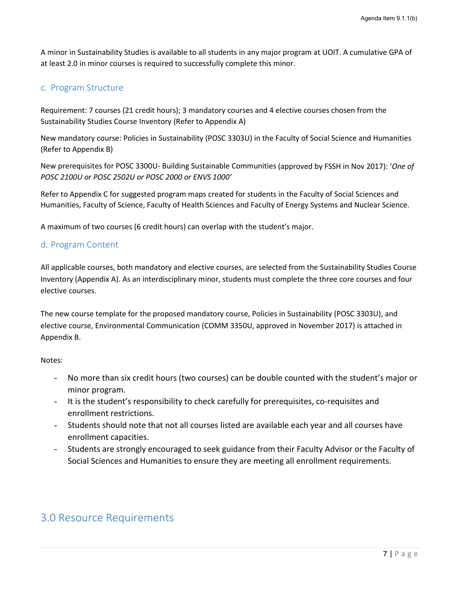A minor in Sustainability Studies is available to all students in any major program at UOIT. A cumulative GPA of at least 2.0 in minor courses is required to successfully complete this minor.

# <span id="page-7-0"></span>c. Program Structure

Requirement: 7 courses (21 credit hours); 3 mandatory courses and 4 elective courses chosen from the Sustainability Studies Course Inventory (Refer to Appendix A)

New mandatory course: Policies in Sustainability (POSC 3303U) in the Faculty of Social Science and Humanities (Refer to Appendix B)

New prerequisites for POSC 3300U- Building Sustainable Communities (approved by FSSH in Nov 2017): '*One of POSC 2100U or POSC 2502U or POSC 2000 or ENVS 1000'*

Refer to Appendix C for suggested program maps created for students in the Faculty of Social Sciences and Humanities, Faculty of Science, Faculty of Health Sciences and Faculty of Energy Systems and Nuclear Science.

A maximum of two courses (6 credit hours) can overlap with the student's major.

### <span id="page-7-1"></span>d. Program Content

All applicable courses, both mandatory and elective courses, are selected from the Sustainability Studies Course Inventory (Appendix A). As an interdisciplinary minor, students must complete the three core courses and four elective courses.

The new course template for the proposed mandatory course, Policies in Sustainability (POSC 3303U), and elective course, Environmental Communication (COMM 3350U, approved in November 2017) is attached in Appendix B.

Notes:

- <span id="page-7-2"></span>- No more than six credit hours (two courses) can be double counted with the student's major or minor program.
- It is the student's responsibility to check carefully for prerequisites, co-requisites and enrollment restrictions.
- Students should note that not all courses listed are available each year and all courses have enrollment capacities.
- Students are strongly encouraged to seek guidance from their Faculty Advisor or the Faculty of Social Sciences and Humanities to ensure they are meeting all enrollment requirements.

# 3.0 Resource Requirements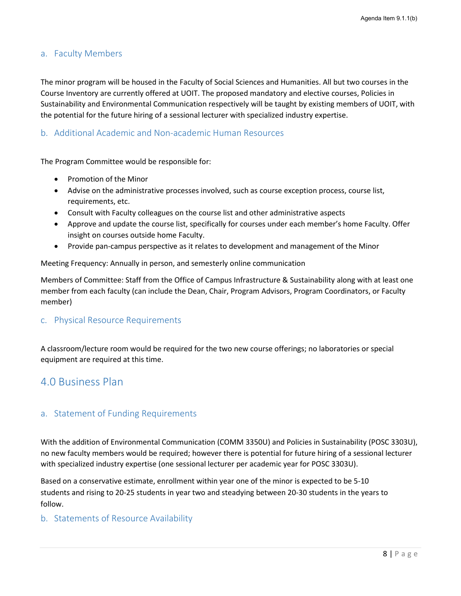# <span id="page-8-0"></span>a. Faculty Members

The minor program will be housed in the Faculty of Social Sciences and Humanities. All but two courses in the Course Inventory are currently offered at UOIT. The proposed mandatory and elective courses, Policies in Sustainability and Environmental Communication respectively will be taught by existing members of UOIT, with the potential for the future hiring of a sessional lecturer with specialized industry expertise.

# <span id="page-8-1"></span>b. Additional Academic and Non-academic Human Resources

The Program Committee would be responsible for:

- Promotion of the Minor
- Advise on the administrative processes involved, such as course exception process, course list, requirements, etc.
- Consult with Faculty colleagues on the course list and other administrative aspects
- Approve and update the course list, specifically for courses under each member's home Faculty. Offer insight on courses outside home Faculty.
- Provide pan-campus perspective as it relates to development and management of the Minor

Meeting Frequency: Annually in person, and semesterly online communication

Members of Committee: Staff from the Office of Campus Infrastructure & Sustainability along with at least one member from each faculty (can include the Dean, Chair, Program Advisors, Program Coordinators, or Faculty member)

#### <span id="page-8-2"></span>c. Physical Resource Requirements

A classroom/lecture room would be required for the two new course offerings; no laboratories or special equipment are required at this time.

# <span id="page-8-3"></span>4.0 Business Plan

# <span id="page-8-4"></span>a. Statement of Funding Requirements

With the addition of Environmental Communication (COMM 3350U) and Policies in Sustainability (POSC 3303U), no new faculty members would be required; however there is potential for future hiring of a sessional lecturer with specialized industry expertise (one sessional lecturer per academic year for POSC 3303U).

Based on a conservative estimate, enrollment within year one of the minor is expected to be 5-10 students and rising to 20-25 students in year two and steadying between 20-30 students in the years to follow.

#### <span id="page-8-5"></span>b. Statements of Resource Availability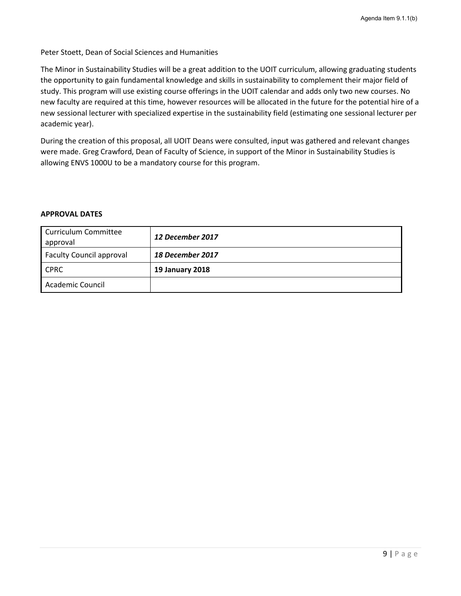Peter Stoett, Dean of Social Sciences and Humanities

The Minor in Sustainability Studies will be a great addition to the UOIT curriculum, allowing graduating students the opportunity to gain fundamental knowledge and skills in sustainability to complement their major field of study. This program will use existing course offerings in the UOIT calendar and adds only two new courses. No new faculty are required at this time, however resources will be allocated in the future for the potential hire of a new sessional lecturer with specialized expertise in the sustainability field (estimating one sessional lecturer per academic year).

During the creation of this proposal, all UOIT Deans were consulted, input was gathered and relevant changes were made. Greg Crawford, Dean of Faculty of Science, in support of the Minor in Sustainability Studies is allowing ENVS 1000U to be a mandatory course for this program.

#### **APPROVAL DATES**

| <b>Curriculum Committee</b><br>approval | 12 December 2017        |
|-----------------------------------------|-------------------------|
| <b>Faculty Council approval</b>         | <b>18 December 2017</b> |
| <b>CPRC</b>                             | <b>19 January 2018</b>  |
| Academic Council                        |                         |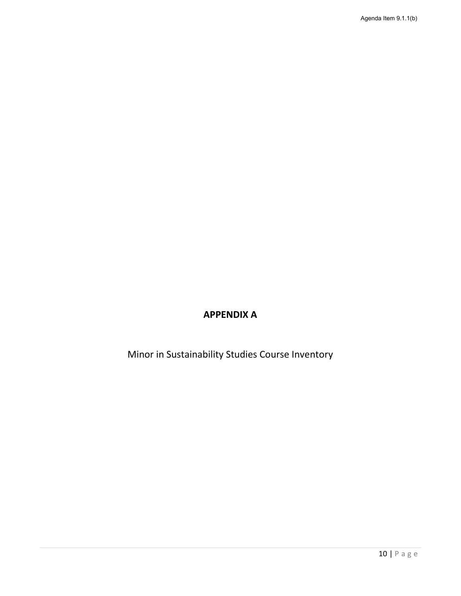# **APPENDIX A**

Minor in Sustainability Studies Course Inventory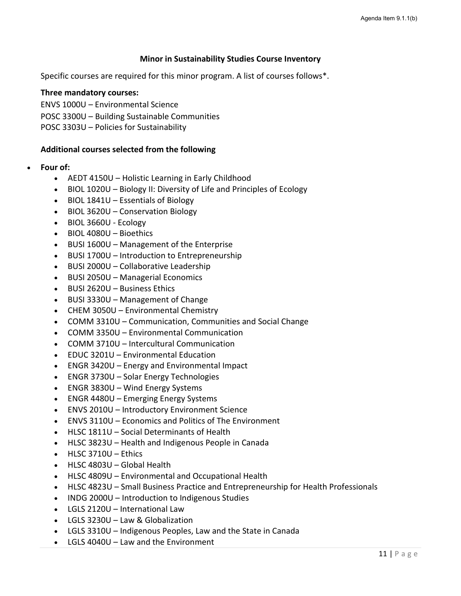### **Minor in Sustainability Studies Course Inventory**

Specific courses are required for this minor program. A list of courses follows\*.

#### **Three mandatory courses:**

ENVS 1000U – Environmental Science

POSC 3300U – Building Sustainable Communities

POSC 3303U – Policies for Sustainability

### **Additional courses selected from the following**

- **Four of:**
	- AEDT 4150U Holistic Learning in Early Childhood
	- BIOL 1020U Biology II: Diversity of Life and Principles of Ecology
	- BIOL 1841U Essentials of Biology
	- BIOL 3620U Conservation Biology
	- BIOL 3660U Ecology
	- BIOL 4080U Bioethics
	- BUSI 1600U Management of the Enterprise
	- BUSI 1700U Introduction to Entrepreneurship
	- BUSI 2000U Collaborative Leadership
	- BUSI 2050U Managerial Economics
	- BUSI 2620U Business Ethics
	- BUSI 3330U Management of Change
	- CHEM 3050U Environmental Chemistry
	- COMM 3310U Communication, Communities and Social Change
	- COMM 3350U Environmental Communication
	- COMM 3710U Intercultural Communication
	- EDUC 3201U Environmental Education
	- ENGR 3420U Energy and Environmental Impact
	- ENGR 3730U Solar Energy Technologies
	- ENGR 3830U Wind Energy Systems
	- ENGR 4480U Emerging Energy Systems
	- ENVS 2010U Introductory Environment Science
	- ENVS 3110U Economics and Politics of The Environment
	- HLSC 1811U Social Determinants of Health
	- HLSC 3823U Health and Indigenous People in Canada
	- HLSC 3710U Ethics
	- HLSC 4803U Global Health
	- HLSC 4809U Environmental and Occupational Health
	- HLSC 4823U Small Business Practice and Entrepreneurship for Health Professionals
	- INDG 2000U Introduction to Indigenous Studies
	- LGLS 2120U International Law
	- LGLS 3230U Law & Globalization
	- LGLS 3310U Indigenous Peoples, Law and the State in Canada
	- LGLS 4040U Law and the Environment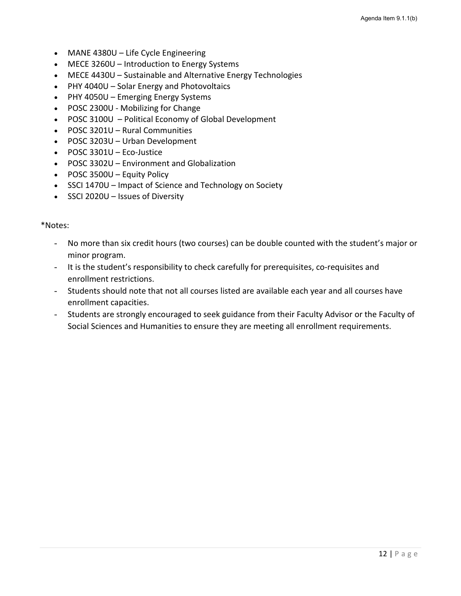- MANE 4380U Life Cycle Engineering
- MECE 3260U Introduction to Energy Systems
- MECE 4430U Sustainable and Alternative Energy Technologies
- PHY 4040U Solar Energy and Photovoltaics
- PHY 4050U Emerging Energy Systems
- POSC 2300U Mobilizing for Change
- POSC 3100U Political Economy of Global Development
- POSC 3201U Rural Communities
- POSC 3203U Urban Development
- POSC 3301U Eco-Justice
- POSC 3302U Environment and Globalization
- POSC 3500U Equity Policy
- SSCI 1470U Impact of Science and Technology on Society
- SSCI 2020U Issues of Diversity

#### \*Notes:

- No more than six credit hours (two courses) can be double counted with the student's major or minor program.
- It is the student's responsibility to check carefully for prerequisites, co-requisites and enrollment restrictions.
- Students should note that not all courses listed are available each year and all courses have enrollment capacities.
- Students are strongly encouraged to seek guidance from their Faculty Advisor or the Faculty of Social Sciences and Humanities to ensure they are meeting all enrollment requirements.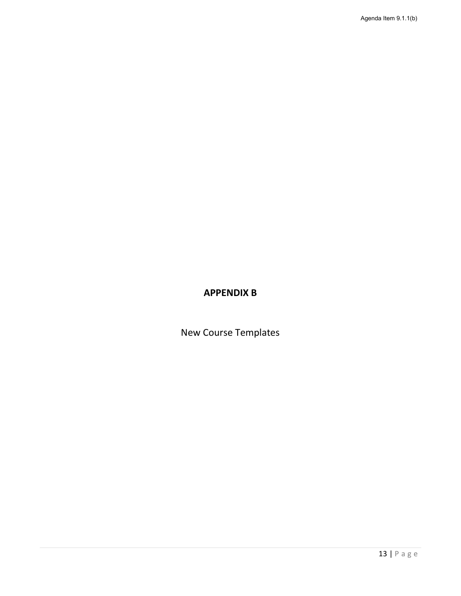# **APPENDIX B**

New Course Templates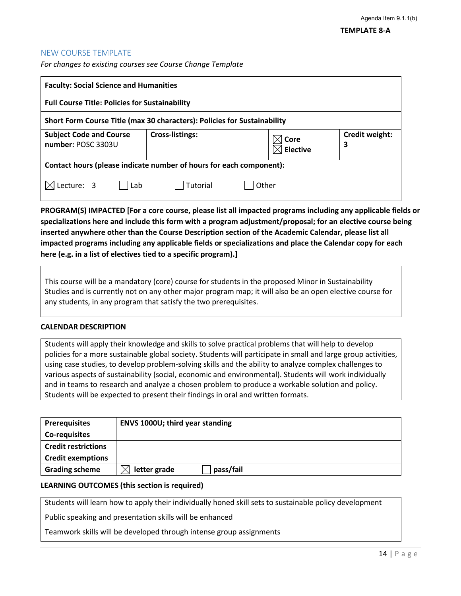#### NEW COURSE TEMPLATE

*For changes to existing courses see Course Change Template*

| <b>Faculty: Social Science and Humanities</b>                            |                        |                           |                     |
|--------------------------------------------------------------------------|------------------------|---------------------------|---------------------|
| <b>Full Course Title: Policies for Sustainability</b>                    |                        |                           |                     |
| Short Form Course Title (max 30 characters): Policies for Sustainability |                        |                           |                     |
| <b>Subject Code and Course</b><br>number: POSC 3303U                     | <b>Cross-listings:</b> | $\times$ Core<br>Elective | Credit weight:<br>3 |
| Contact hours (please indicate number of hours for each component):      |                        |                           |                     |
| Lecture: 3<br>Lab                                                        | Tutorial               | Other                     |                     |

**PROGRAM(S) IMPACTED [For a core course, please list all impacted programs including any applicable fields or specializations here and include this form with a program adjustment/proposal; for an elective course being inserted anywhere other than the Course Description section of the Academic Calendar, please list all impacted programs including any applicable fields or specializations and place the Calendar copy for each here (e.g. in a list of electives tied to a specific program).]**

This course will be a mandatory (core) course for students in the proposed Minor in Sustainability Studies and is currently not on any other major program map; it will also be an open elective course for any students, in any program that satisfy the two prerequisites.

#### **CALENDAR DESCRIPTION**

Students will apply their knowledge and skills to solve practical problems that will help to develop policies for a more sustainable global society. Students will participate in small and large group activities, using case studies, to develop problem-solving skills and the ability to analyze complex challenges to various aspects of sustainability (social, economic and environmental). Students will work individually and in teams to research and analyze a chosen problem to produce a workable solution and policy. Students will be expected to present their findings in oral and written formats.

| <b>Prerequisites</b>       | <b>ENVS 1000U; third year standing</b> |
|----------------------------|----------------------------------------|
| Co-requisites              |                                        |
| <b>Credit restrictions</b> |                                        |
| <b>Credit exemptions</b>   |                                        |
| <b>Grading scheme</b>      | pass/fail<br>letter grade              |

#### **LEARNING OUTCOMES (this section is required)**

Students will learn how to apply their individually honed skill sets to sustainable policy development

Public speaking and presentation skills will be enhanced

Teamwork skills will be developed through intense group assignments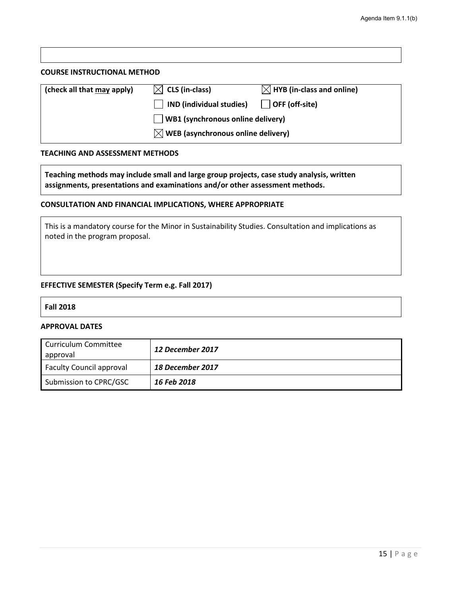#### **COURSE INSTRUCTIONAL METHOD**

| (check all that may apply) | $\boxtimes$ CLS (in-class)                     | $\boxtimes$ HYB (in-class and online) |
|----------------------------|------------------------------------------------|---------------------------------------|
|                            | IND (individual studies)                       | OFF (off-site)                        |
|                            | $\Box$ WB1 (synchronous online delivery)       |                                       |
|                            | $\boxtimes$ WEB (asynchronous online delivery) |                                       |

#### **TEACHING AND ASSESSMENT METHODS**

**Teaching methods may include small and large group projects, case study analysis, written assignments, presentations and examinations and/or other assessment methods.**

#### **CONSULTATION AND FINANCIAL IMPLICATIONS, WHERE APPROPRIATE**

This is a mandatory course for the Minor in Sustainability Studies. Consultation and implications as noted in the program proposal.

#### **EFFECTIVE SEMESTER (Specify Term e.g. Fall 2017)**

#### **Fall 2018**

#### **APPROVAL DATES**

| Curriculum Committee<br>approval | 12 December 2017 |
|----------------------------------|------------------|
| <b>Faculty Council approval</b>  | 18 December 2017 |
| Submission to CPRC/GSC           | 16 Feb 2018      |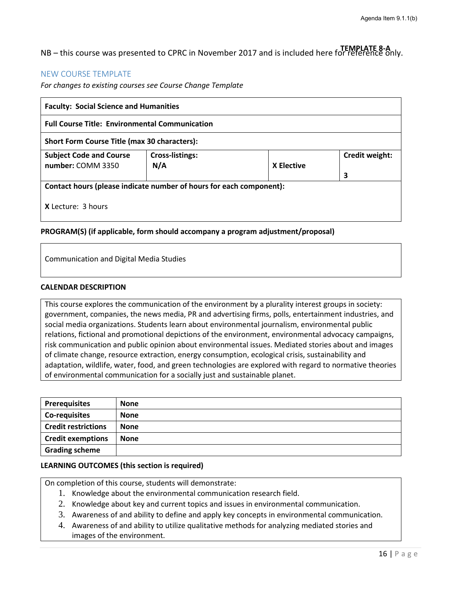NB – this course was presented to CPRC in November 2017 and is included here for reference only. **TEMPLATE 8-A**

# NEW COURSE TEMPLATE

*For changes to existing courses see Course Change Template*

| <b>Faculty: Social Science and Humanities</b>                       |                               |                   |                |
|---------------------------------------------------------------------|-------------------------------|-------------------|----------------|
| <b>Full Course Title: Environmental Communication</b>               |                               |                   |                |
| <b>Short Form Course Title (max 30 characters):</b>                 |                               |                   |                |
| <b>Subject Code and Course</b><br>number: COMM 3350                 | <b>Cross-listings:</b><br>N/A | <b>X</b> Elective | Credit weight: |
|                                                                     |                               |                   | 3              |
| Contact hours (please indicate number of hours for each component): |                               |                   |                |
| <b>X</b> Lecture: 3 hours                                           |                               |                   |                |

#### **PROGRAM(S) (if applicable, form should accompany a program adjustment/proposal)**

Communication and Digital Media Studies

#### **CALENDAR DESCRIPTION**

This course explores the communication of the environment by a plurality interest groups in society: government, companies, the news media, PR and advertising firms, polls, entertainment industries, and social media organizations. Students learn about environmental journalism, environmental public relations, fictional and promotional depictions of the environment, environmental advocacy campaigns, risk communication and public opinion about environmental issues. Mediated stories about and images of climate change, resource extraction, energy consumption, ecological crisis, sustainability and adaptation, wildlife, water, food, and green technologies are explored with regard to normative theories of environmental communication for a socially just and sustainable planet.

| <b>Prerequisites</b>       | <b>None</b> |
|----------------------------|-------------|
| <b>Co-requisites</b>       | <b>None</b> |
| <b>Credit restrictions</b> | <b>None</b> |
| <b>Credit exemptions</b>   | <b>None</b> |
| <b>Grading scheme</b>      |             |

#### **LEARNING OUTCOMES (this section is required)**

On completion of this course, students will demonstrate:

- 1. Knowledge about the environmental communication research field.
- 2. Knowledge about key and current topics and issues in environmental communication.
- 3. Awareness of and ability to define and apply key concepts in environmental communication.
- 4. Awareness of and ability to utilize qualitative methods for analyzing mediated stories and images of the environment.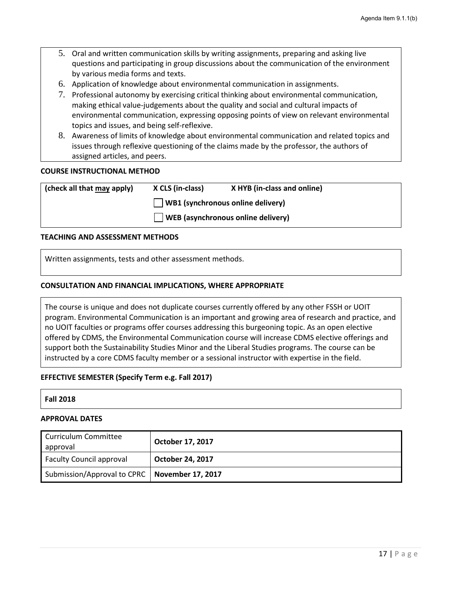- 5. Oral and written communication skills by writing assignments, preparing and asking live questions and participating in group discussions about the communication of the environment by various media forms and texts.
- 6. Application of knowledge about environmental communication in assignments.
- 7. Professional autonomy by exercising critical thinking about environmental communication, making ethical value-judgements about the quality and social and cultural impacts of environmental communication, expressing opposing points of view on relevant environmental topics and issues, and being self-reflexive.
- 8. Awareness of limits of knowledge about environmental communication and related topics and issues through reflexive questioning of the claims made by the professor, the authors of assigned articles, and peers.

#### **COURSE INSTRUCTIONAL METHOD**

| (check all that may apply) | X CLS (in-class)                         | X HYB (in-class and online)               |  |
|----------------------------|------------------------------------------|-------------------------------------------|--|
|                            | $\Box$ WB1 (synchronous online delivery) |                                           |  |
|                            |                                          | $\Box$ WEB (asynchronous online delivery) |  |

#### **TEACHING AND ASSESSMENT METHODS**

Written assignments, tests and other assessment methods.

#### **CONSULTATION AND FINANCIAL IMPLICATIONS, WHERE APPROPRIATE**

The course is unique and does not duplicate courses currently offered by any other FSSH or UOIT program. Environmental Communication is an important and growing area of research and practice, and no UOIT faculties or programs offer courses addressing this burgeoning topic. As an open elective offered by CDMS, the Environmental Communication course will increase CDMS elective offerings and support both the Sustainability Studies Minor and the Liberal Studies programs. The course can be instructed by a core CDMS faculty member or a sessional instructor with expertise in the field.

#### **EFFECTIVE SEMESTER (Specify Term e.g. Fall 2017)**

#### **Fall 2018**

#### **APPROVAL DATES**

| Curriculum Committee<br>approval                | October 17, 2017        |
|-------------------------------------------------|-------------------------|
| <b>Faculty Council approval</b>                 | <b>October 24, 2017</b> |
| Submission/Approval to CPRC   November 17, 2017 |                         |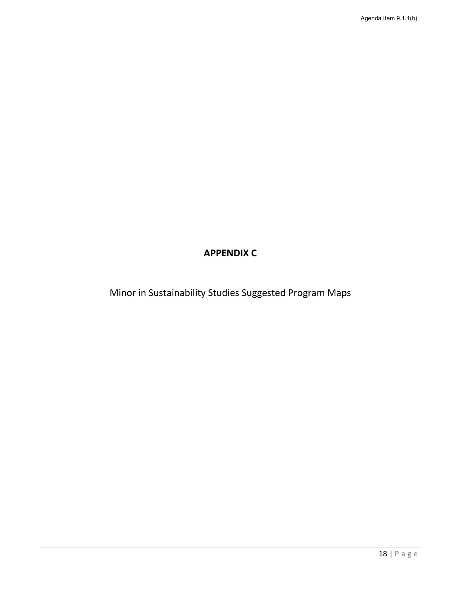# **APPENDIX C**

Minor in Sustainability Studies Suggested Program Maps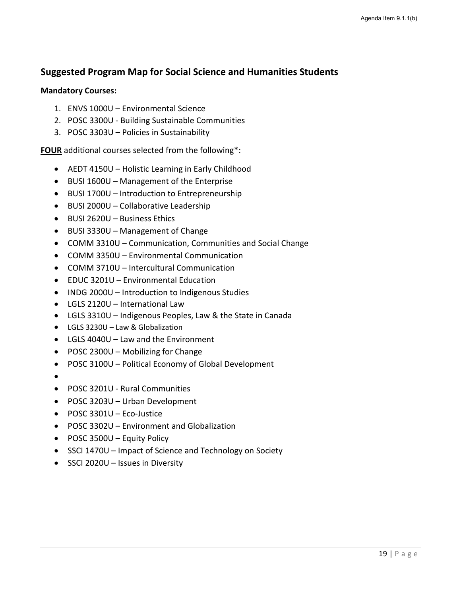# **Suggested Program Map for Social Science and Humanities Students**

### **Mandatory Courses:**

- 1. ENVS 1000U Environmental Science
- 2. POSC 3300U Building Sustainable Communities
- 3. POSC 3303U Policies in Sustainability

**FOUR** additional courses selected from the following\*:

- AEDT 4150U Holistic Learning in Early Childhood
- BUSI 1600U Management of the Enterprise
- BUSI 1700U Introduction to Entrepreneurship
- BUSI 2000U Collaborative Leadership
- BUSI 2620U Business Ethics
- BUSI 3330U Management of Change
- COMM 3310U Communication, Communities and Social Change
- COMM 3350U Environmental Communication
- COMM 3710U Intercultural Communication
- EDUC 3201U Environmental Education
- INDG 2000U Introduction to Indigenous Studies
- LGLS 2120U International Law
- LGLS 3310U Indigenous Peoples, Law & the State in Canada
- LGLS 3230U Law & Globalization
- LGLS 4040U Law and the Environment
- POSC 2300U Mobilizing for Change
- POSC 3100U Political Economy of Global Development
- •
- POSC 3201U Rural Communities
- POSC 3203U Urban Development
- POSC 3301U Eco-Justice
- POSC 3302U Environment and Globalization
- POSC 3500U Equity Policy
- SSCI 1470U Impact of Science and Technology on Society
- SSCI 2020U Issues in Diversity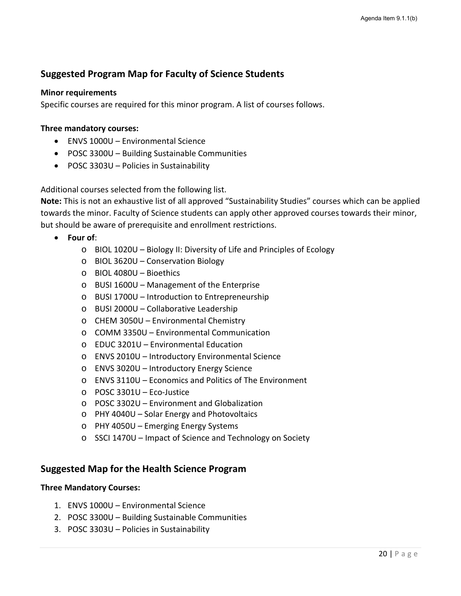# **Suggested Program Map for Faculty of Science Students**

### **Minor requirements**

Specific courses are required for this minor program. A list of courses follows.

### **Three mandatory courses:**

- ENVS 1000U Environmental Science
- POSC 3300U Building Sustainable Communities
- POSC 3303U Policies in Sustainability

Additional courses selected from the following list.

**Note:** This is not an exhaustive list of all approved "Sustainability Studies" courses which can be applied towards the minor. Faculty of Science students can apply other approved courses towards their minor, but should be aware of prerequisite and enrollment restrictions.

- **Four of**:
	- o BIOL 1020U Biology II: Diversity of Life and Principles of Ecology
	- o BIOL 3620U Conservation Biology
	- o BIOL 4080U Bioethics
	- o BUSI 1600U Management of the Enterprise
	- o BUSI 1700U Introduction to Entrepreneurship
	- o BUSI 2000U Collaborative Leadership
	- o CHEM 3050U Environmental Chemistry
	- o COMM 3350U Environmental Communication
	- o EDUC 3201U Environmental Education
	- o ENVS 2010U Introductory Environmental Science
	- o ENVS 3020U Introductory Energy Science
	- o ENVS 3110U Economics and Politics of The Environment
	- o POSC 3301U Eco-Justice
	- o POSC 3302U Environment and Globalization
	- o PHY 4040U Solar Energy and Photovoltaics
	- o PHY 4050U Emerging Energy Systems
	- o SSCI 1470U Impact of Science and Technology on Society

# **Suggested Map for the Health Science Program**

#### **Three Mandatory Courses:**

- 1. ENVS 1000U Environmental Science
- 2. POSC 3300U Building Sustainable Communities
- 3. POSC 3303U Policies in Sustainability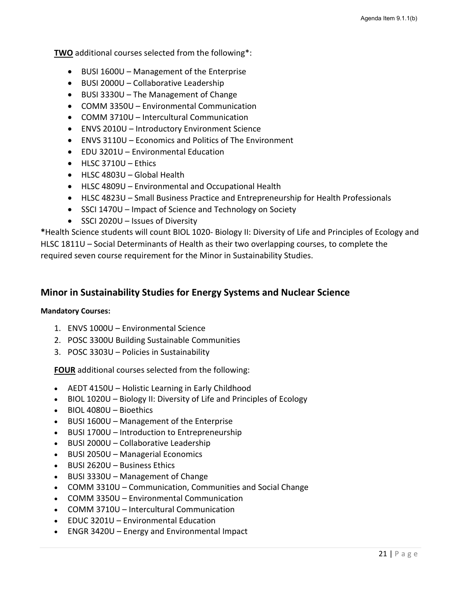**TWO** additional courses selected from the following\*:

- BUSI 1600U Management of the Enterprise
- BUSI 2000U Collaborative Leadership
- BUSI 3330U The Management of Change
- COMM 3350U Environmental Communication
- COMM 3710U Intercultural Communication
- ENVS 2010U Introductory Environment Science
- ENVS 3110U Economics and Politics of The Environment
- EDU 3201U Environmental Education
- HLSC 3710U Ethics
- HLSC 4803U Global Health
- HLSC 4809U Environmental and Occupational Health
- HLSC 4823U Small Business Practice and Entrepreneurship for Health Professionals
- SSCI 1470U Impact of Science and Technology on Society
- SSCI 2020U Issues of Diversity

**\***Health Science students will count BIOL 1020- Biology II: Diversity of Life and Principles of Ecology and HLSC 1811U – Social Determinants of Health as their two overlapping courses, to complete the required seven course requirement for the Minor in Sustainability Studies.

# **Minor in Sustainability Studies for Energy Systems and Nuclear Science**

#### **Mandatory Courses:**

- 1. ENVS 1000U Environmental Science
- 2. POSC 3300U Building Sustainable Communities
- 3. POSC 3303U Policies in Sustainability

**FOUR** additional courses selected from the following:

- AEDT 4150U Holistic Learning in Early Childhood
- BIOL 1020U Biology II: Diversity of Life and Principles of Ecology
- BIOL 4080U Bioethics
- BUSI 1600U Management of the Enterprise
- BUSI 1700U Introduction to Entrepreneurship
- BUSI 2000U Collaborative Leadership
- BUSI 2050U Managerial Economics
- BUSI 2620U Business Ethics
- BUSI 3330U Management of Change
- COMM 3310U Communication, Communities and Social Change
- COMM 3350U Environmental Communication
- COMM 3710U Intercultural Communication
- EDUC 3201U Environmental Education
- ENGR 3420U Energy and Environmental Impact